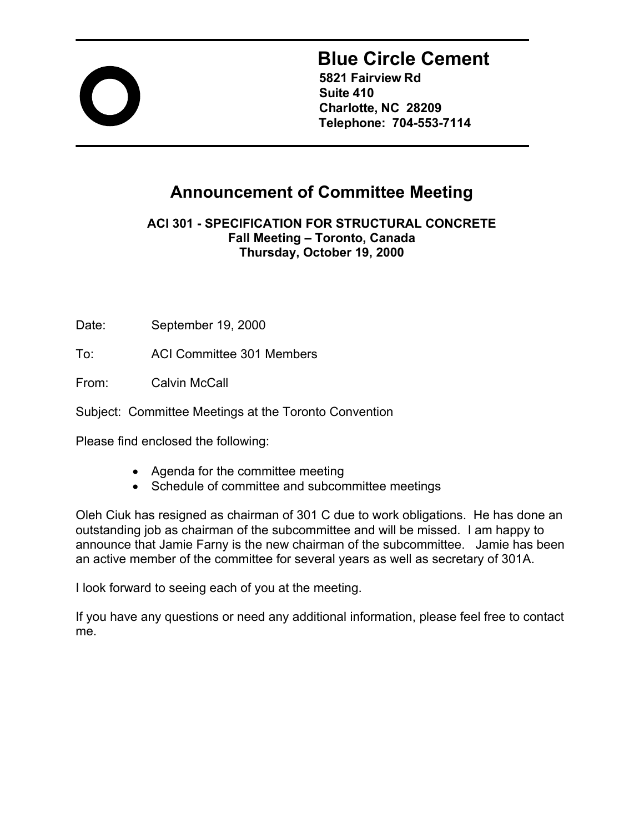

# **Blue Circle Cement**

**5821 Fairview Rd Suite 410 Charlotte, NC 28209 Telephone: 704-553-7114** 

## **Announcement of Committee Meeting**

**ACI 301 - SPECIFICATION FOR STRUCTURAL CONCRETE Fall Meeting – Toronto, Canada Thursday, October 19, 2000**

Date: September 19, 2000

To: ACI Committee 301 Members

From: Calvin McCall

Subject: Committee Meetings at the Toronto Convention

Please find enclosed the following:

- Agenda for the committee meeting
- Schedule of committee and subcommittee meetings

Oleh Ciuk has resigned as chairman of 301 C due to work obligations. He has done an outstanding job as chairman of the subcommittee and will be missed. I am happy to announce that Jamie Farny is the new chairman of the subcommittee. Jamie has been an active member of the committee for several years as well as secretary of 301A.

I look forward to seeing each of you at the meeting.

If you have any questions or need any additional information, please feel free to contact me.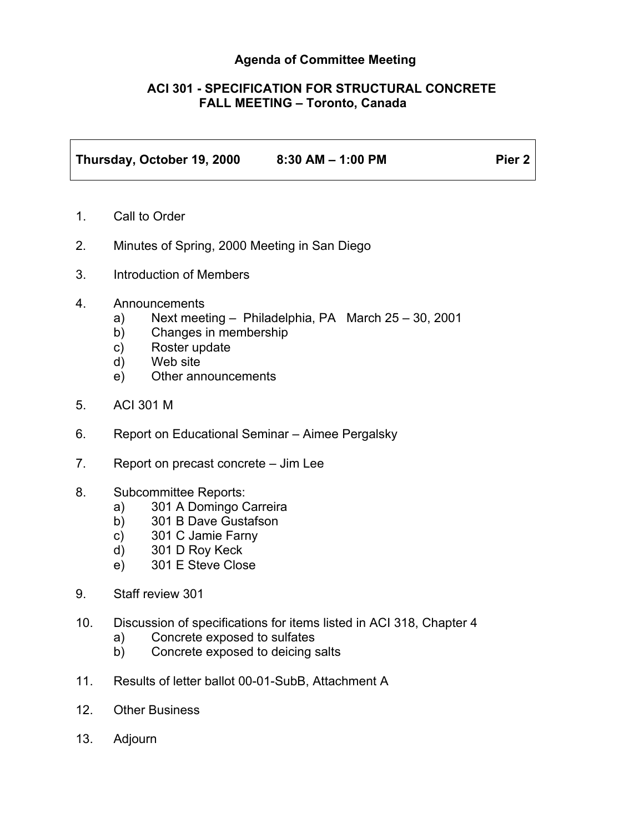#### **Agenda of Committee Meeting**

#### **ACI 301 - SPECIFICATION FOR STRUCTURAL CONCRETE FALL MEETING – Toronto, Canada**

| Thursday, October 19, 2000 | $8:30$ AM $-$ 1:00 PM | Pier <sub>2</sub> |
|----------------------------|-----------------------|-------------------|

- 1. Call to Order
- 2. Minutes of Spring, 2000 Meeting in San Diego
- 3. Introduction of Members
- 4. Announcements
	- a) Next meeting Philadelphia, PA March 25 30, 2001
	- b) Changes in membership
	- c) Roster update
	- d) Web site
	- e) Other announcements
- 5. ACI 301 M
- 6. Report on Educational Seminar Aimee Pergalsky
- 7. Report on precast concrete Jim Lee
- 8. Subcommittee Reports:
	- a) 301 A Domingo Carreira
	- b) 301 B Dave Gustafson
	- c) 301 C Jamie Farny
	- d) 301 D Roy Keck
	- e) 301 E Steve Close
- 9. Staff review 301
- 10. Discussion of specifications for items listed in ACI 318, Chapter 4
	- a) Concrete exposed to sulfates
	- b) Concrete exposed to deicing salts
- 11. Results of letter ballot 00-01-SubB, Attachment A
- 12. Other Business
- 13. Adjourn